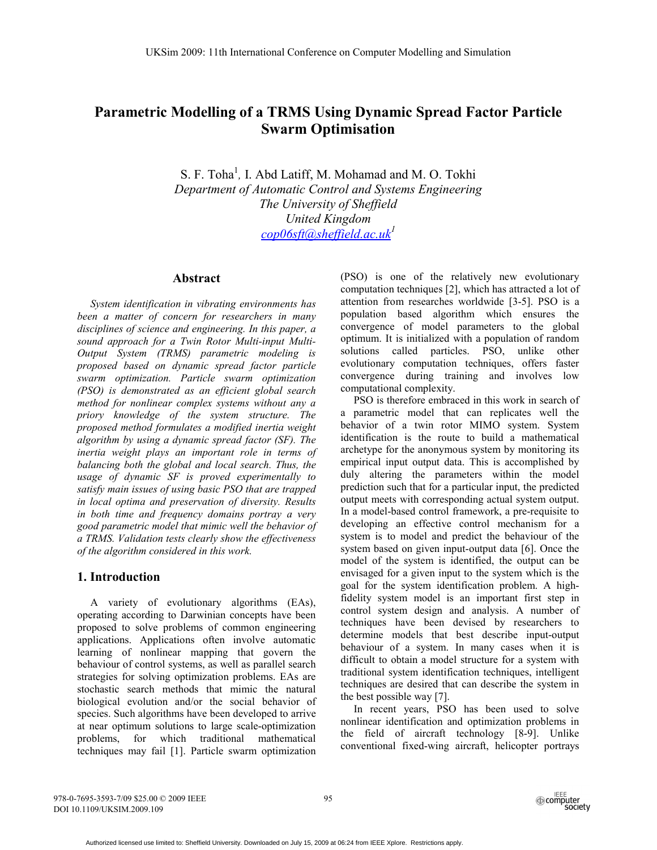# **Parametric Modelling of a TRMS Using Dynamic Spread Factor Particle Swarm Optimisation**

S. F. Toha<sup>1</sup>, I. Abd Latiff, M. Mohamad and M. O. Tokhi *Department of Automatic Control and Systems Engineering The University of Sheffield United Kingdom cop06sft@sheffield.ac.uk<sup>1</sup>*

## **Abstract**

*System identification in vibrating environments has been a matter of concern for researchers in many disciplines of science and engineering. In this paper, a sound approach for a Twin Rotor Multi-input Multi-Output System (TRMS) parametric modeling is proposed based on dynamic spread factor particle swarm optimization. Particle swarm optimization (PSO) is demonstrated as an efficient global search method for nonlinear complex systems without any a priory knowledge of the system structure. The proposed method formulates a modified inertia weight algorithm by using a dynamic spread factor (SF). The inertia weight plays an important role in terms of balancing both the global and local search. Thus, the usage of dynamic SF is proved experimentally to satisfy main issues of using basic PSO that are trapped in local optima and preservation of diversity. Results in both time and frequency domains portray a very good parametric model that mimic well the behavior of a TRMS. Validation tests clearly show the effectiveness of the algorithm considered in this work.* 

## **1. Introduction**

A variety of evolutionary algorithms (EAs), operating according to Darwinian concepts have been proposed to solve problems of common engineering applications. Applications often involve automatic learning of nonlinear mapping that govern the behaviour of control systems, as well as parallel search strategies for solving optimization problems. EAs are stochastic search methods that mimic the natural biological evolution and/or the social behavior of species. Such algorithms have been developed to arrive at near optimum solutions to large scale-optimization problems, for which traditional mathematical techniques may fail [1]. Particle swarm optimization (PSO) is one of the relatively new evolutionary computation techniques [2], which has attracted a lot of attention from researches worldwide [3-5]. PSO is a population based algorithm which ensures the convergence of model parameters to the global optimum. It is initialized with a population of random solutions called particles. PSO, unlike other evolutionary computation techniques, offers faster convergence during training and involves low computational complexity.

PSO is therefore embraced in this work in search of a parametric model that can replicates well the behavior of a twin rotor MIMO system. System identification is the route to build a mathematical archetype for the anonymous system by monitoring its empirical input output data. This is accomplished by duly altering the parameters within the model prediction such that for a particular input, the predicted output meets with corresponding actual system output. In a model-based control framework, a pre-requisite to developing an effective control mechanism for a system is to model and predict the behaviour of the system based on given input-output data [6]. Once the model of the system is identified, the output can be envisaged for a given input to the system which is the goal for the system identification problem. A highfidelity system model is an important first step in control system design and analysis. A number of techniques have been devised by researchers to determine models that best describe input-output behaviour of a system. In many cases when it is difficult to obtain a model structure for a system with traditional system identification techniques, intelligent techniques are desired that can describe the system in the best possible way [7].

In recent years, PSO has been used to solve nonlinear identification and optimization problems in the field of aircraft technology [8-9]. Unlike conventional fixed-wing aircraft, helicopter portrays

978-0-7695-3593-7/09 \$25.00 © 2009 IEEE DOI 10.1109/UKSIM.2009.109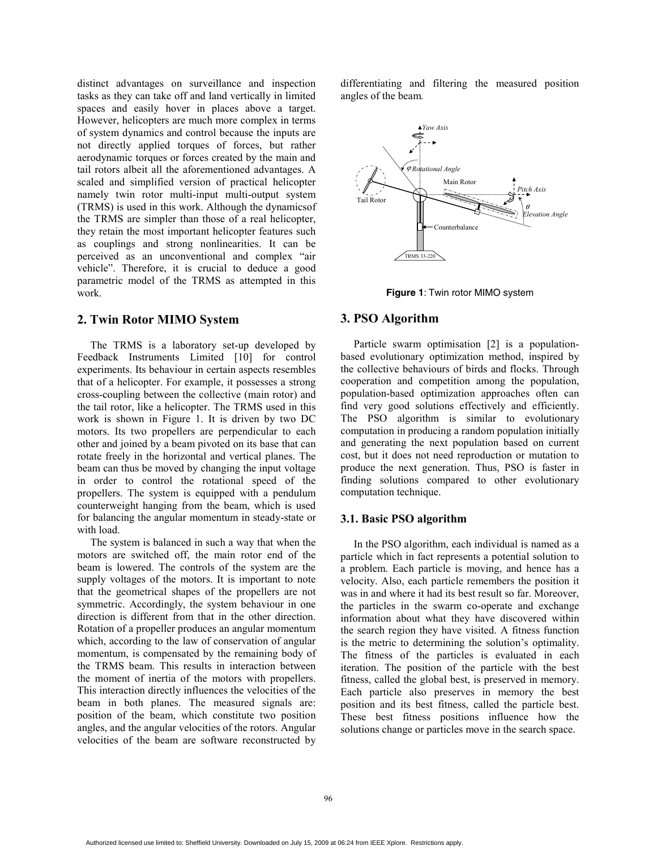distinct advantages on surveillance and inspection tasks as they can take off and land vertically in limited spaces and easily hover in places above a target. However, helicopters are much more complex in terms of system dynamics and control because the inputs are not directly applied torques of forces, but rather aerodynamic torques or forces created by the main and tail rotors albeit all the aforementioned advantages. A scaled and simplified version of practical helicopter namely twin rotor multi-input multi-output system (TRMS) is used in this work. Although the dynamicsof the TRMS are simpler than those of a real helicopter, they retain the most important helicopter features such as couplings and strong nonlinearities. It can be perceived as an unconventional and complex "air vehicle". Therefore, it is crucial to deduce a good parametric model of the TRMS as attempted in this work.

## **2. Twin Rotor MIMO System**

The TRMS is a laboratory set-up developed by Feedback Instruments Limited [10] for control experiments. Its behaviour in certain aspects resembles that of a helicopter. For example, it possesses a strong cross-coupling between the collective (main rotor) and the tail rotor, like a helicopter. The TRMS used in this work is shown in Figure 1. It is driven by two DC motors. Its two propellers are perpendicular to each other and joined by a beam pivoted on its base that can rotate freely in the horizontal and vertical planes. The beam can thus be moved by changing the input voltage in order to control the rotational speed of the propellers. The system is equipped with a pendulum counterweight hanging from the beam, which is used for balancing the angular momentum in steady-state or with load.

The system is balanced in such a way that when the motors are switched off, the main rotor end of the beam is lowered. The controls of the system are the supply voltages of the motors. It is important to note that the geometrical shapes of the propellers are not symmetric. Accordingly, the system behaviour in one direction is different from that in the other direction. Rotation of a propeller produces an angular momentum which, according to the law of conservation of angular momentum, is compensated by the remaining body of the TRMS beam. This results in interaction between the moment of inertia of the motors with propellers. This interaction directly influences the velocities of the beam in both planes. The measured signals are: position of the beam, which constitute two position angles, and the angular velocities of the rotors. Angular velocities of the beam are software reconstructed by

differentiating and filtering the measured position angles of the beam*.*



**Figure 1**: Twin rotor MIMO system

## **3. PSO Algorithm**

Particle swarm optimisation [2] is a populationbased evolutionary optimization method, inspired by the collective behaviours of birds and flocks. Through cooperation and competition among the population, population-based optimization approaches often can find very good solutions effectively and efficiently. The PSO algorithm is similar to evolutionary computation in producing a random population initially and generating the next population based on current cost, but it does not need reproduction or mutation to produce the next generation. Thus, PSO is faster in finding solutions compared to other evolutionary computation technique.

## **3.1. Basic PSO algorithm**

In the PSO algorithm, each individual is named as a particle which in fact represents a potential solution to a problem. Each particle is moving, and hence has a velocity. Also, each particle remembers the position it was in and where it had its best result so far. Moreover, the particles in the swarm co-operate and exchange information about what they have discovered within the search region they have visited. A fitness function is the metric to determining the solution's optimality. The fitness of the particles is evaluated in each iteration. The position of the particle with the best fitness, called the global best, is preserved in memory. Each particle also preserves in memory the best position and its best fitness, called the particle best. These best fitness positions influence how the solutions change or particles move in the search space.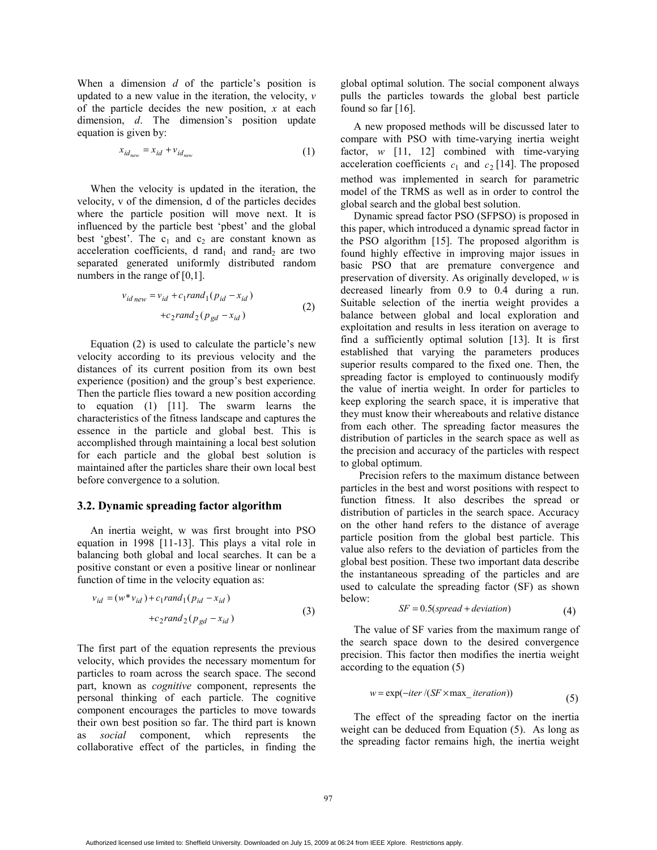When a dimension *d* of the particle's position is updated to a new value in the iteration, the velocity, *v* of the particle decides the new position, *x* at each dimension, *d*. The dimension's position update equation is given by:

$$
x_{id_{new}} = x_{id} + v_{id_{new}} \tag{1}
$$

When the velocity is updated in the iteration, the velocity, v of the dimension, d of the particles decides where the particle position will move next. It is influenced by the particle best 'pbest' and the global best 'gbest'. The  $c_1$  and  $c_2$  are constant known as acceleration coefficients, d rand<sub>1</sub> and rand<sub>2</sub> are two separated generated uniformly distributed random numbers in the range of [0,1].

$$
v_{id\ new} = v_{id} + c_1 rand_1(p_{id} - x_{id})
$$
  
+
$$
+ c_2 rand_2(p_{gd} - x_{id})
$$
 (2)

Equation (2) is used to calculate the particle's new velocity according to its previous velocity and the distances of its current position from its own best experience (position) and the group's best experience. Then the particle flies toward a new position according to equation (1) [11]. The swarm learns the characteristics of the fitness landscape and captures the essence in the particle and global best. This is accomplished through maintaining a local best solution for each particle and the global best solution is maintained after the particles share their own local best before convergence to a solution.

#### **3.2. Dynamic spreading factor algorithm**

An inertia weight, w was first brought into PSO equation in 1998 [11-13]. This plays a vital role in balancing both global and local searches. It can be a positive constant or even a positive linear or nonlinear function of time in the velocity equation as:

$$
v_{id} = (w^* v_{id}) + c_1 rand_1(p_{id} - x_{id})
$$
  
+
$$
+ c_2 rand_2(p_{gd} - x_{id})
$$
 (3)

The first part of the equation represents the previous velocity, which provides the necessary momentum for particles to roam across the search space. The second part, known as *cognitive* component, represents the personal thinking of each particle. The cognitive component encourages the particles to move towards their own best position so far. The third part is known as *social* component, which represents the collaborative effect of the particles, in finding the

global optimal solution. The social component always pulls the particles towards the global best particle found so far [16].

A new proposed methods will be discussed later to compare with PSO with time-varying inertia weight factor, *w* [11, 12] combined with time-varying acceleration coefficients  $c_1$  and  $c_2$  [14]. The proposed method was implemented in search for parametric model of the TRMS as well as in order to control the global search and the global best solution.

Dynamic spread factor PSO (SFPSO) is proposed in this paper, which introduced a dynamic spread factor in the PSO algorithm [15]. The proposed algorithm is found highly effective in improving major issues in basic PSO that are premature convergence and preservation of diversity. As originally developed, *w* is decreased linearly from 0.9 to 0.4 during a run. Suitable selection of the inertia weight provides a balance between global and local exploration and exploitation and results in less iteration on average to find a sufficiently optimal solution [13]. It is first established that varying the parameters produces superior results compared to the fixed one. Then, the spreading factor is employed to continuously modify the value of inertia weight. In order for particles to keep exploring the search space, it is imperative that they must know their whereabouts and relative distance from each other. The spreading factor measures the distribution of particles in the search space as well as the precision and accuracy of the particles with respect to global optimum.

Precision refers to the maximum distance between particles in the best and worst positions with respect to function fitness. It also describes the spread or distribution of particles in the search space. Accuracy on the other hand refers to the distance of average particle position from the global best particle. This value also refers to the deviation of particles from the global best position. These two important data describe the instantaneous spreading of the particles and are used to calculate the spreading factor (SF) as shown below:

$$
SF = 0.5(spread + deviation)
$$
\n<sup>(4)</sup>

The value of SF varies from the maximum range of the search space down to the desired convergence precision. This factor then modifies the inertia weight according to the equation (5)

$$
w = \exp(-iter / (SF \times \max\_iteration))
$$
\n(5)

The effect of the spreading factor on the inertia weight can be deduced from Equation (5). As long as the spreading factor remains high, the inertia weight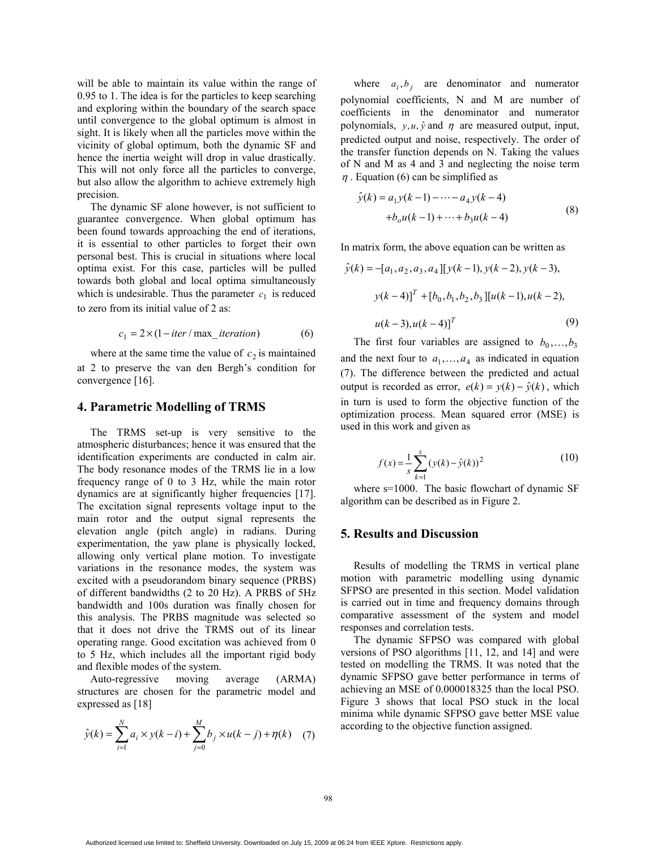will be able to maintain its value within the range of 0.95 to 1. The idea is for the particles to keep searching and exploring within the boundary of the search space until convergence to the global optimum is almost in sight. It is likely when all the particles move within the vicinity of global optimum, both the dynamic SF and hence the inertia weight will drop in value drastically. This will not only force all the particles to converge, but also allow the algorithm to achieve extremely high precision.

The dynamic SF alone however, is not sufficient to guarantee convergence. When global optimum has been found towards approaching the end of iterations, it is essential to other particles to forget their own personal best. This is crucial in situations where local optima exist. For this case, particles will be pulled towards both global and local optima simultaneously which is undesirable. Thus the parameter  $c_1$  is reduced to zero from its initial value of 2 as:

$$
c_1 = 2 \times (1 - iter / max\_iteration)
$$
 (6)

where at the same time the value of  $c_2$  is maintained at 2 to preserve the van den Bergh's condition for convergence [16].

## **4. Parametric Modelling of TRMS**

The TRMS set-up is very sensitive to the atmospheric disturbances; hence it was ensured that the identification experiments are conducted in calm air. The body resonance modes of the TRMS lie in a low frequency range of 0 to 3 Hz, while the main rotor dynamics are at significantly higher frequencies [17]. The excitation signal represents voltage input to the main rotor and the output signal represents the elevation angle (pitch angle) in radians. During experimentation, the yaw plane is physically locked, allowing only vertical plane motion. To investigate variations in the resonance modes, the system was excited with a pseudorandom binary sequence (PRBS) of different bandwidths (2 to 20 Hz). A PRBS of 5Hz bandwidth and 100s duration was finally chosen for this analysis. The PRBS magnitude was selected so that it does not drive the TRMS out of its linear operating range. Good excitation was achieved from 0 to 5 Hz, which includes all the important rigid body and flexible modes of the system.

Auto-regressive moving average (ARMA) structures are chosen for the parametric model and expressed as [18]

$$
\hat{y}(k) = \sum_{i=1}^{N} a_i \times y(k-i) + \sum_{j=0}^{M} b_j \times u(k-j) + \eta(k) \quad (7)
$$

where  $a_i, b_j$  are denominator and numerator polynomial coefficients, N and M are number of coefficients in the denominator and numerator polynomials,  $v, u, \hat{v}$  and  $\eta$  are measured output, input, predicted output and noise, respectively. The order of the transfer function depends on N. Taking the values of N and M as 4 and 3 and neglecting the noise term  $\eta$ . Equation (6) can be simplified as

$$
\hat{y}(k) = a_1 y(k-1) - \dots - a_4 y(k-4) \n+ b_0 u(k-1) + \dots + b_3 u(k-4)
$$
\n(8)

In matrix form, the above equation can be written as

$$
\hat{y}(k) = -[a_1, a_2, a_3, a_4][y(k-1), y(k-2), y(k-3),\ny(k-4)]T + [b_0, b_1, b_2, b_3][u(k-1), u(k-2),\nu(k-3), u(k-4)]T
$$
\n(9)

The first four variables are assigned to  $b_0, \ldots, b_3$ and the next four to  $a_1, \ldots, a_4$  as indicated in equation (7). The difference between the predicted and actual output is recorded as error,  $e(k) = y(k) - \hat{y}(k)$ , which in turn is used to form the objective function of the optimization process. Mean squared error (MSE) is used in this work and given as

$$
f(x) = \frac{1}{s} \sum_{k=1}^{s} (y(k) - \hat{y}(k))^2
$$
 (10)

where  $s=1000$ . The basic flowchart of dynamic SF algorithm can be described as in Figure 2.

#### **5. Results and Discussion**

Results of modelling the TRMS in vertical plane motion with parametric modelling using dynamic SFPSO are presented in this section. Model validation is carried out in time and frequency domains through comparative assessment of the system and model responses and correlation tests.

The dynamic SFPSO was compared with global versions of PSO algorithms [11, 12, and 14] and were tested on modelling the TRMS. It was noted that the dynamic SFPSO gave better performance in terms of achieving an MSE of 0.000018325 than the local PSO. Figure 3 shows that local PSO stuck in the local minima while dynamic SFPSO gave better MSE value according to the objective function assigned.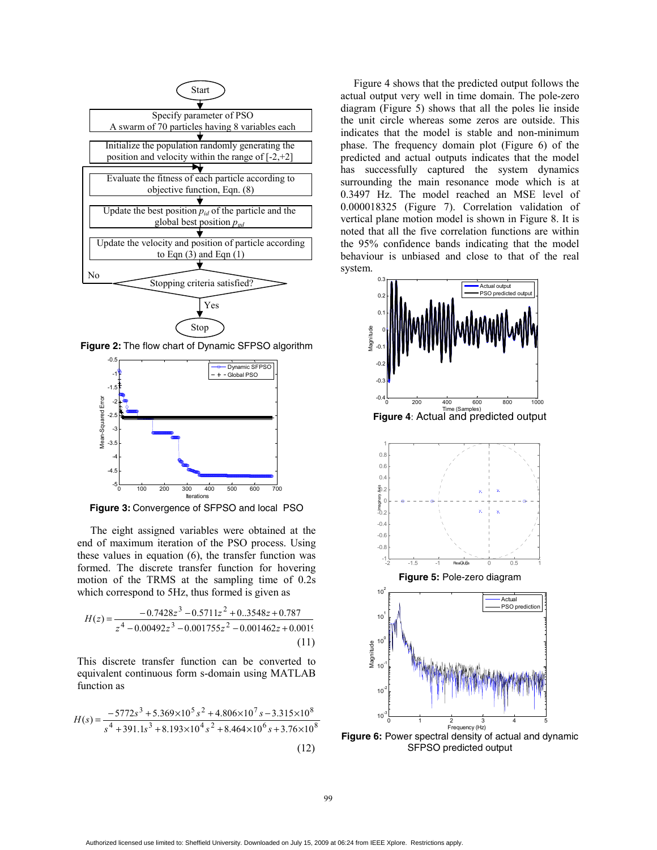





**Figure 3:** Convergence of SFPSO and local PSO

The eight assigned variables were obtained at the end of maximum iteration of the PSO process. Using these values in equation (6), the transfer function was formed. The discrete transfer function for hovering motion of the TRMS at the sampling time of 0.2s which correspond to 5Hz, thus formed is given as

$$
H(z) = \frac{-0.7428z^3 - 0.5711z^2 + 0.3548z + 0.787}{z^4 - 0.00492z^3 - 0.001755z^2 - 0.001462z + 0.0019}
$$
(11)

This discrete transfer function can be converted to equivalent continuous form s-domain using MATLAB function as

$$
H(s) = \frac{-5772s^3 + 5.369 \times 10^5 s^2 + 4.806 \times 10^7 s - 3.315 \times 10^8}{s^4 + 391.1s^3 + 8.193 \times 10^4 s^2 + 8.464 \times 10^6 s + 3.76 \times 10^8}
$$
\n(12)

Figure 4 shows that the predicted output follows the actual output very well in time domain. The pole-zero diagram (Figure 5) shows that all the poles lie inside the unit circle whereas some zeros are outside. This indicates that the model is stable and non-minimum phase. The frequency domain plot (Figure 6) of the predicted and actual outputs indicates that the model has successfully captured the system dynamics surrounding the main resonance mode which is at 0.3497 Hz. The model reached an MSE level of 0.000018325 (Figure 7). Correlation validation of vertical plane motion model is shown in Figure 8. It is noted that all the five correlation functions are within the 95% confidence bands indicating that the model behaviour is unbiased and close to that of the real system.



Authorized licensed use limited to: Sheffield University. Downloaded on July 15, 2009 at 06:24 from IEEE Xplore. Restrictions apply.